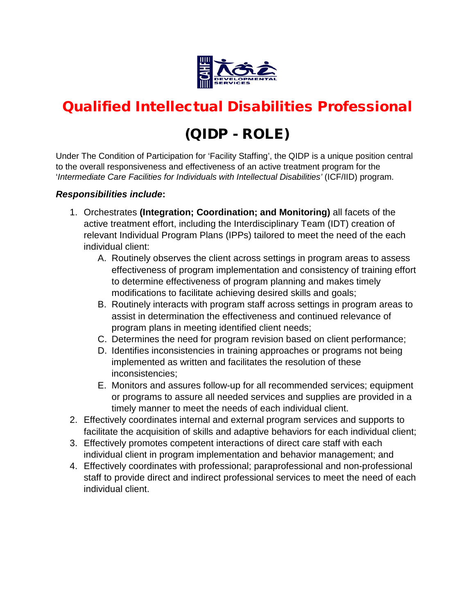

# Qualified Intellectual Disabilities Professional

## (QIDP - ROLE)

Under The Condition of Participation for 'Facility Staffing', the QIDP is a unique position central to the overall responsiveness and effectiveness of an active treatment program for the '*Intermediate Care Facilities for Individuals with Intellectual Disabilities'* (ICF/IID) program.

### *Responsibilities include***:**

- 1. Orchestrates **(Integration; Coordination; and Monitoring)** all facets of the active treatment effort, including the Interdisciplinary Team (IDT) creation of relevant Individual Program Plans (IPPs) tailored to meet the need of the each individual client:
	- A. Routinely observes the client across settings in program areas to assess effectiveness of program implementation and consistency of training effort to determine effectiveness of program planning and makes timely modifications to facilitate achieving desired skills and goals;
	- B. Routinely interacts with program staff across settings in program areas to assist in determination the effectiveness and continued relevance of program plans in meeting identified client needs;
	- C. Determines the need for program revision based on client performance;
	- D. Identifies inconsistencies in training approaches or programs not being implemented as written and facilitates the resolution of these inconsistencies;
	- E. Monitors and assures follow-up for all recommended services; equipment or programs to assure all needed services and supplies are provided in a timely manner to meet the needs of each individual client.
- 2. Effectively coordinates internal and external program services and supports to facilitate the acquisition of skills and adaptive behaviors for each individual client;
- 3. Effectively promotes competent interactions of direct care staff with each individual client in program implementation and behavior management; and
- 4. Effectively coordinates with professional; paraprofessional and non-professional staff to provide direct and indirect professional services to meet the need of each individual client.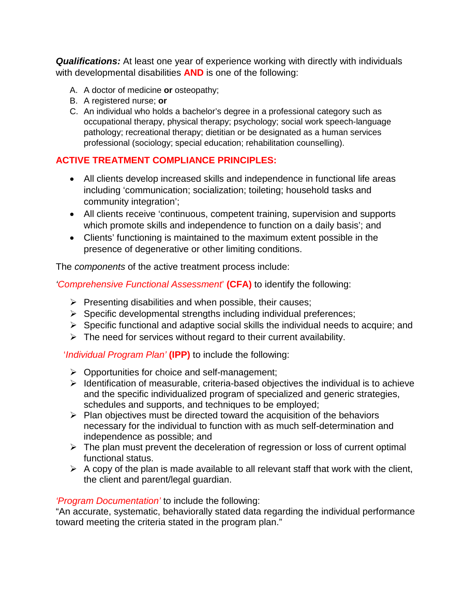*Qualifications:* At least one year of experience working with directly with individuals with developmental disabilities **AND** is one of the following:

- A. A doctor of medicine **or** osteopathy;
- B. A registered nurse; **or**
- C. An individual who holds a bachelor's degree in a professional category such as occupational therapy, physical therapy; psychology; social work speech-language pathology; recreational therapy; dietitian or be designated as a human services professional (sociology; special education; rehabilitation counselling).

## **ACTIVE TREATMENT COMPLIANCE PRINCIPLES:**

- All clients develop increased skills and independence in functional life areas including 'communication; socialization; toileting; household tasks and community integration';
- All clients receive 'continuous, competent training, supervision and supports which promote skills and independence to function on a daily basis'; and
- Clients' functioning is maintained to the maximum extent possible in the presence of degenerative or other limiting conditions.

The *components* of the active treatment process include:

*'Comprehensive Functional Assessment*' **(CFA)** to identify the following:

- $\triangleright$  Presenting disabilities and when possible, their causes;
- $\triangleright$  Specific developmental strengths including individual preferences;
- $\triangleright$  Specific functional and adaptive social skills the individual needs to acquire; and
- $\triangleright$  The need for services without regard to their current availability.

## '*Individual Program Plan'* **(IPP)** to include the following:

- $\triangleright$  Opportunities for choice and self-management;
- $\triangleright$  Identification of measurable, criteria-based objectives the individual is to achieve and the specific individualized program of specialized and generic strategies, schedules and supports, and techniques to be employed;
- $\triangleright$  Plan objectives must be directed toward the acquisition of the behaviors necessary for the individual to function with as much self-determination and independence as possible; and
- $\triangleright$  The plan must prevent the deceleration of regression or loss of current optimal functional status.
- $\triangleright$  A copy of the plan is made available to all relevant staff that work with the client, the client and parent/legal guardian.

## *'Program Documentation'* to include the following:

"An accurate, systematic, behaviorally stated data regarding the individual performance toward meeting the criteria stated in the program plan."